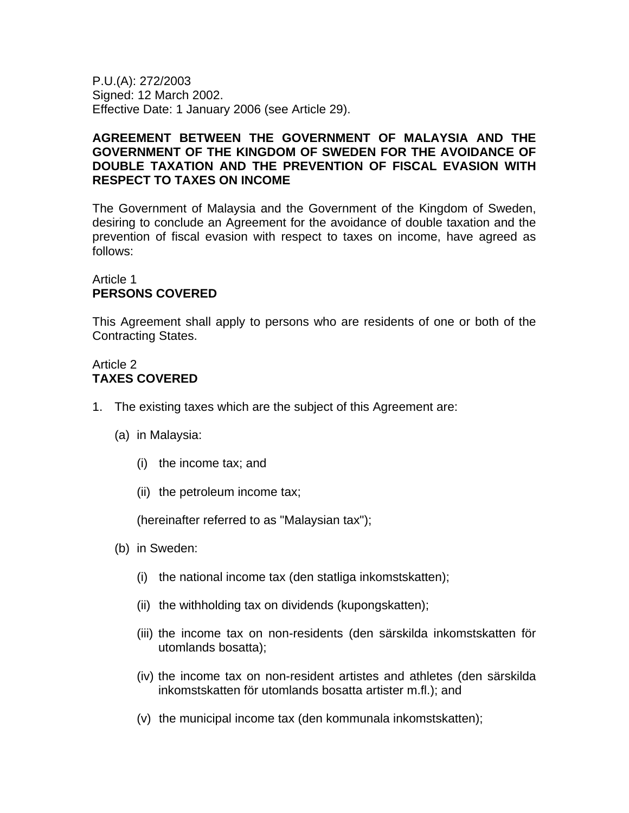P.U.(A): 272/2003 Signed: 12 March 2002. Effective Date: 1 January 2006 (see Article 29).

### **AGREEMENT BETWEEN THE GOVERNMENT OF MALAYSIA AND THE GOVERNMENT OF THE KINGDOM OF SWEDEN FOR THE AVOIDANCE OF DOUBLE TAXATION AND THE PREVENTION OF FISCAL EVASION WITH RESPECT TO TAXES ON INCOME**

The Government of Malaysia and the Government of the Kingdom of Sweden, desiring to conclude an Agreement for the avoidance of double taxation and the prevention of fiscal evasion with respect to taxes on income, have agreed as follows:

#### Article 1 **PERSONS COVERED**

This Agreement shall apply to persons who are residents of one or both of the Contracting States.

## Article 2 **TAXES COVERED**

- 1. The existing taxes which are the subject of this Agreement are:
	- (a) in Malaysia:
		- (i) the income tax; and
		- (ii) the petroleum income tax;

(hereinafter referred to as "Malaysian tax");

- (b) in Sweden:
	- (i) the national income tax (den statliga inkomstskatten);
	- (ii) the withholding tax on dividends (kupongskatten);
	- (iii) the income tax on non-residents (den särskilda inkomstskatten för utomlands bosatta);
	- (iv) the income tax on non-resident artistes and athletes (den särskilda inkomstskatten för utomlands bosatta artister m.fl.); and
	- (v) the municipal income tax (den kommunala inkomstskatten);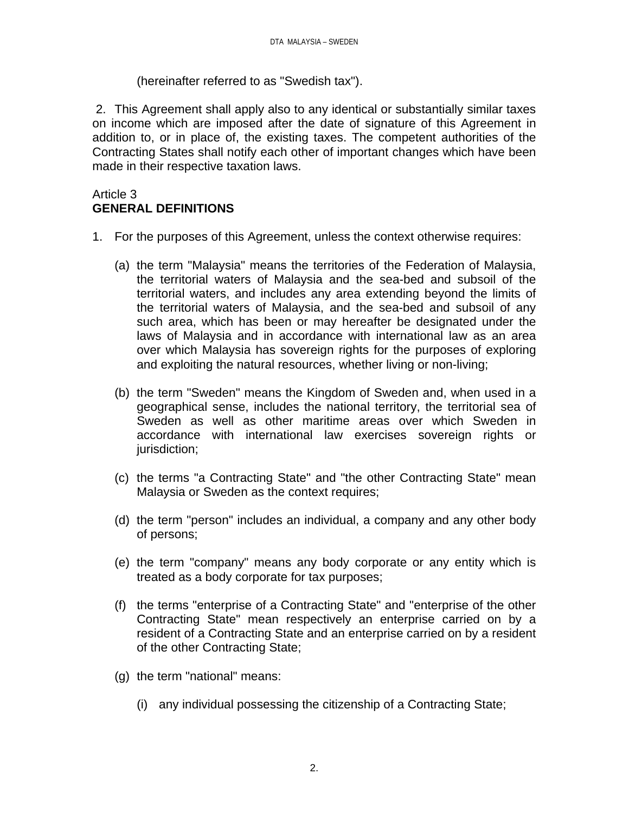## (hereinafter referred to as "Swedish tax").

 2. This Agreement shall apply also to any identical or substantially similar taxes on income which are imposed after the date of signature of this Agreement in addition to, or in place of, the existing taxes. The competent authorities of the Contracting States shall notify each other of important changes which have been made in their respective taxation laws.

### Article 3 **GENERAL DEFINITIONS**

- 1. For the purposes of this Agreement, unless the context otherwise requires:
	- (a) the term "Malaysia" means the territories of the Federation of Malaysia, the territorial waters of Malaysia and the sea-bed and subsoil of the territorial waters, and includes any area extending beyond the limits of the territorial waters of Malaysia, and the sea-bed and subsoil of any such area, which has been or may hereafter be designated under the laws of Malaysia and in accordance with international law as an area over which Malaysia has sovereign rights for the purposes of exploring and exploiting the natural resources, whether living or non-living;
	- (b) the term "Sweden" means the Kingdom of Sweden and, when used in a geographical sense, includes the national territory, the territorial sea of Sweden as well as other maritime areas over which Sweden in accordance with international law exercises sovereign rights or jurisdiction;
	- (c) the terms "a Contracting State" and "the other Contracting State" mean Malaysia or Sweden as the context requires;
	- (d) the term "person" includes an individual, a company and any other body of persons;
	- (e) the term "company" means any body corporate or any entity which is treated as a body corporate for tax purposes;
	- (f) the terms "enterprise of a Contracting State" and "enterprise of the other Contracting State" mean respectively an enterprise carried on by a resident of a Contracting State and an enterprise carried on by a resident of the other Contracting State;
	- (g) the term "national" means:
		- (i) any individual possessing the citizenship of a Contracting State;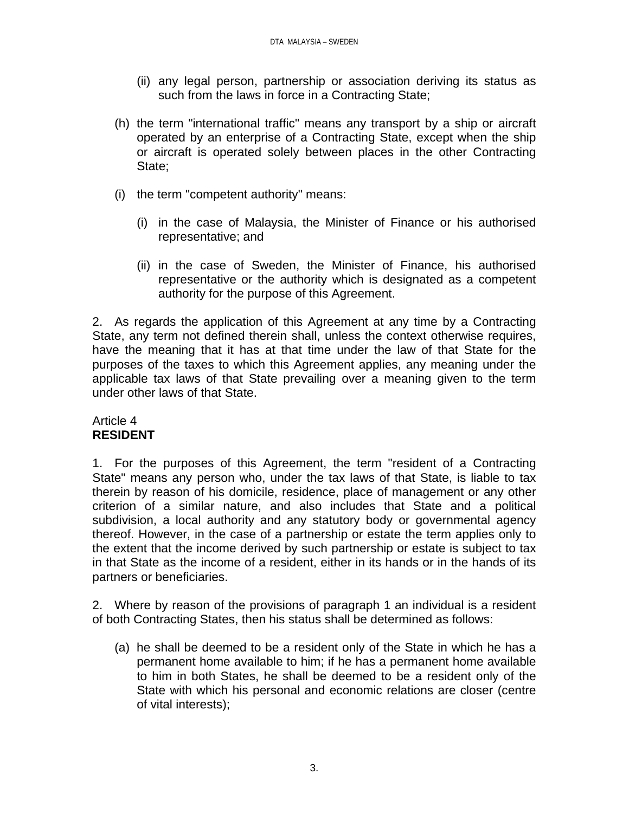- (ii) any legal person, partnership or association deriving its status as such from the laws in force in a Contracting State;
- (h) the term "international traffic" means any transport by a ship or aircraft operated by an enterprise of a Contracting State, except when the ship or aircraft is operated solely between places in the other Contracting State;
- (i) the term "competent authority" means:
	- (i) in the case of Malaysia, the Minister of Finance or his authorised representative; and
	- (ii) in the case of Sweden, the Minister of Finance, his authorised representative or the authority which is designated as a competent authority for the purpose of this Agreement.

2. As regards the application of this Agreement at any time by a Contracting State, any term not defined therein shall, unless the context otherwise requires, have the meaning that it has at that time under the law of that State for the purposes of the taxes to which this Agreement applies, any meaning under the applicable tax laws of that State prevailing over a meaning given to the term under other laws of that State.

## Article 4 **RESIDENT**

1. For the purposes of this Agreement, the term "resident of a Contracting State" means any person who, under the tax laws of that State, is liable to tax therein by reason of his domicile, residence, place of management or any other criterion of a similar nature, and also includes that State and a political subdivision, a local authority and any statutory body or governmental agency thereof. However, in the case of a partnership or estate the term applies only to the extent that the income derived by such partnership or estate is subject to tax in that State as the income of a resident, either in its hands or in the hands of its partners or beneficiaries.

2. Where by reason of the provisions of paragraph 1 an individual is a resident of both Contracting States, then his status shall be determined as follows:

(a) he shall be deemed to be a resident only of the State in which he has a permanent home available to him; if he has a permanent home available to him in both States, he shall be deemed to be a resident only of the State with which his personal and economic relations are closer (centre of vital interests);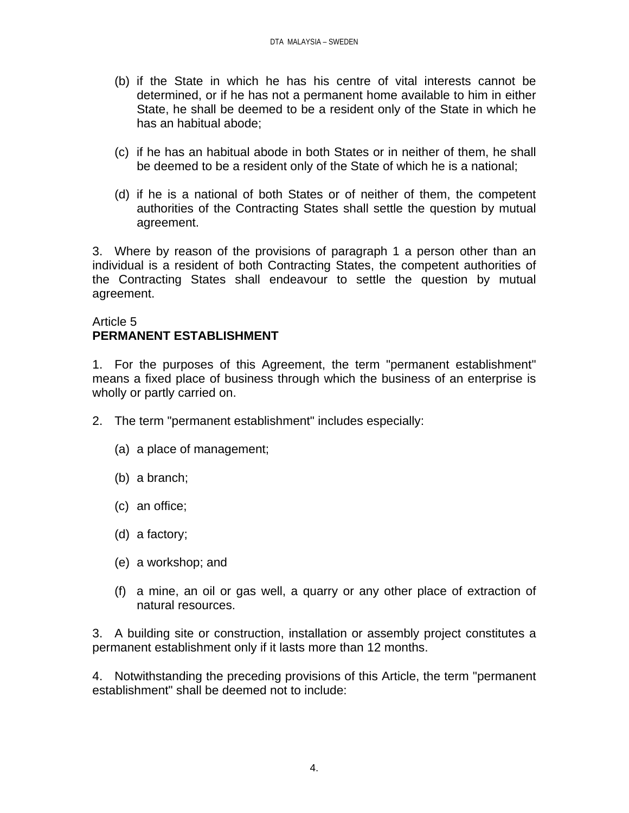- (b) if the State in which he has his centre of vital interests cannot be determined, or if he has not a permanent home available to him in either State, he shall be deemed to be a resident only of the State in which he has an habitual abode;
- (c) if he has an habitual abode in both States or in neither of them, he shall be deemed to be a resident only of the State of which he is a national;
- (d) if he is a national of both States or of neither of them, the competent authorities of the Contracting States shall settle the question by mutual agreement.

3. Where by reason of the provisions of paragraph 1 a person other than an individual is a resident of both Contracting States, the competent authorities of the Contracting States shall endeavour to settle the question by mutual agreement.

# Article 5

# **PERMANENT ESTABLISHMENT**

1. For the purposes of this Agreement, the term "permanent establishment" means a fixed place of business through which the business of an enterprise is wholly or partly carried on.

- 2. The term "permanent establishment" includes especially:
	- (a) a place of management;
	- (b) a branch;
	- (c) an office;
	- (d) a factory;
	- (e) a workshop; and
	- (f) a mine, an oil or gas well, a quarry or any other place of extraction of natural resources.

3. A building site or construction, installation or assembly project constitutes a permanent establishment only if it lasts more than 12 months.

4. Notwithstanding the preceding provisions of this Article, the term "permanent establishment" shall be deemed not to include: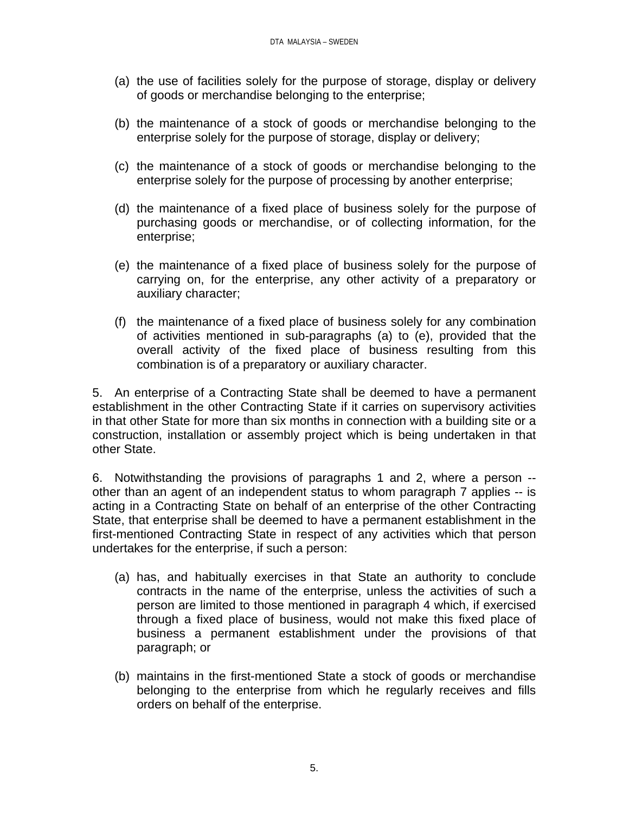- (a) the use of facilities solely for the purpose of storage, display or delivery of goods or merchandise belonging to the enterprise;
- (b) the maintenance of a stock of goods or merchandise belonging to the enterprise solely for the purpose of storage, display or delivery;
- (c) the maintenance of a stock of goods or merchandise belonging to the enterprise solely for the purpose of processing by another enterprise;
- (d) the maintenance of a fixed place of business solely for the purpose of purchasing goods or merchandise, or of collecting information, for the enterprise;
- (e) the maintenance of a fixed place of business solely for the purpose of carrying on, for the enterprise, any other activity of a preparatory or auxiliary character;
- (f) the maintenance of a fixed place of business solely for any combination of activities mentioned in sub-paragraphs (a) to (e), provided that the overall activity of the fixed place of business resulting from this combination is of a preparatory or auxiliary character.

5. An enterprise of a Contracting State shall be deemed to have a permanent establishment in the other Contracting State if it carries on supervisory activities in that other State for more than six months in connection with a building site or a construction, installation or assembly project which is being undertaken in that other State.

6. Notwithstanding the provisions of paragraphs 1 and 2, where a person - other than an agent of an independent status to whom paragraph 7 applies -- is acting in a Contracting State on behalf of an enterprise of the other Contracting State, that enterprise shall be deemed to have a permanent establishment in the first-mentioned Contracting State in respect of any activities which that person undertakes for the enterprise, if such a person:

- (a) has, and habitually exercises in that State an authority to conclude contracts in the name of the enterprise, unless the activities of such a person are limited to those mentioned in paragraph 4 which, if exercised through a fixed place of business, would not make this fixed place of business a permanent establishment under the provisions of that paragraph; or
- (b) maintains in the first-mentioned State a stock of goods or merchandise belonging to the enterprise from which he regularly receives and fills orders on behalf of the enterprise.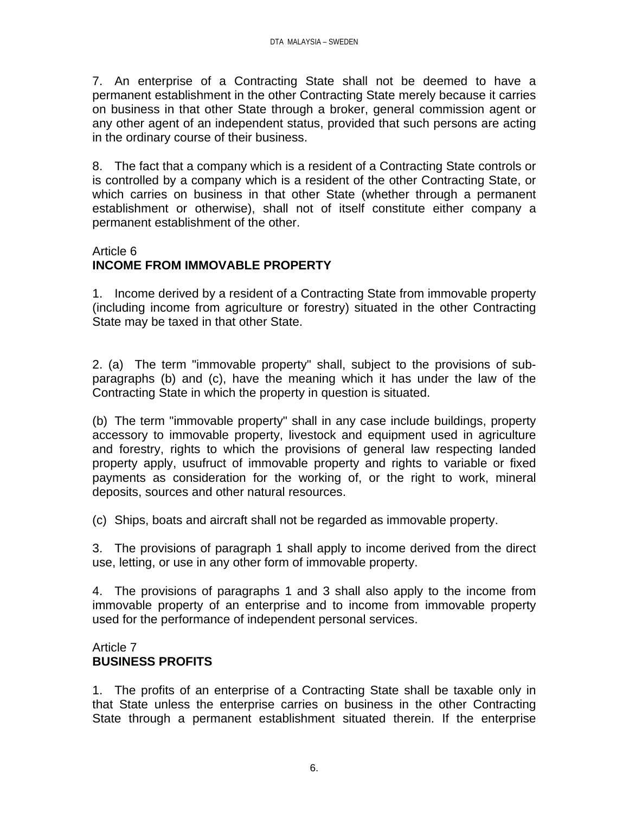7. An enterprise of a Contracting State shall not be deemed to have a permanent establishment in the other Contracting State merely because it carries on business in that other State through a broker, general commission agent or any other agent of an independent status, provided that such persons are acting in the ordinary course of their business.

8. The fact that a company which is a resident of a Contracting State controls or is controlled by a company which is a resident of the other Contracting State, or which carries on business in that other State (whether through a permanent establishment or otherwise), shall not of itself constitute either company a permanent establishment of the other.

## Article 6

# **INCOME FROM IMMOVABLE PROPERTY**

1. Income derived by a resident of a Contracting State from immovable property (including income from agriculture or forestry) situated in the other Contracting State may be taxed in that other State.

2. (a) The term "immovable property" shall, subject to the provisions of subparagraphs (b) and (c), have the meaning which it has under the law of the Contracting State in which the property in question is situated.

(b) The term "immovable property" shall in any case include buildings, property accessory to immovable property, livestock and equipment used in agriculture and forestry, rights to which the provisions of general law respecting landed property apply, usufruct of immovable property and rights to variable or fixed payments as consideration for the working of, or the right to work, mineral deposits, sources and other natural resources.

(c) Ships, boats and aircraft shall not be regarded as immovable property.

3. The provisions of paragraph 1 shall apply to income derived from the direct use, letting, or use in any other form of immovable property.

4. The provisions of paragraphs 1 and 3 shall also apply to the income from immovable property of an enterprise and to income from immovable property used for the performance of independent personal services.

## Article 7 **BUSINESS PROFITS**

1. The profits of an enterprise of a Contracting State shall be taxable only in that State unless the enterprise carries on business in the other Contracting State through a permanent establishment situated therein. If the enterprise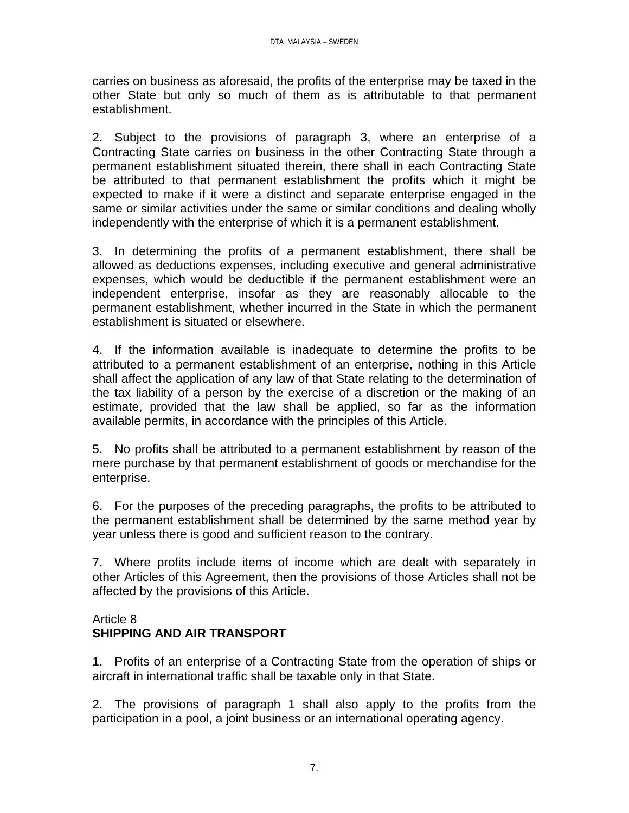carries on business as aforesaid, the profits of the enterprise may be taxed in the other State but only so much of them as is attributable to that permanent establishment.

2. Subject to the provisions of paragraph 3, where an enterprise of a Contracting State carries on business in the other Contracting State through a permanent establishment situated therein, there shall in each Contracting State be attributed to that permanent establishment the profits which it might be expected to make if it were a distinct and separate enterprise engaged in the same or similar activities under the same or similar conditions and dealing wholly independently with the enterprise of which it is a permanent establishment.

3. In determining the profits of a permanent establishment, there shall be allowed as deductions expenses, including executive and general administrative expenses, which would be deductible if the permanent establishment were an independent enterprise, insofar as they are reasonably allocable to the permanent establishment, whether incurred in the State in which the permanent establishment is situated or elsewhere.

4. If the information available is inadequate to determine the profits to be attributed to a permanent establishment of an enterprise, nothing in this Article shall affect the application of any law of that State relating to the determination of the tax liability of a person by the exercise of a discretion or the making of an estimate, provided that the law shall be applied, so far as the information available permits, in accordance with the principles of this Article.

5. No profits shall be attributed to a permanent establishment by reason of the mere purchase by that permanent establishment of goods or merchandise for the enterprise.

6. For the purposes of the preceding paragraphs, the profits to be attributed to the permanent establishment shall be determined by the same method year by year unless there is good and sufficient reason to the contrary.

7. Where profits include items of income which are dealt with separately in other Articles of this Agreement, then the provisions of those Articles shall not be affected by the provisions of this Article.

## Article 8 **SHIPPING AND AIR TRANSPORT**

1. Profits of an enterprise of a Contracting State from the operation of ships or aircraft in international traffic shall be taxable only in that State.

2. The provisions of paragraph 1 shall also apply to the profits from the participation in a pool, a joint business or an international operating agency.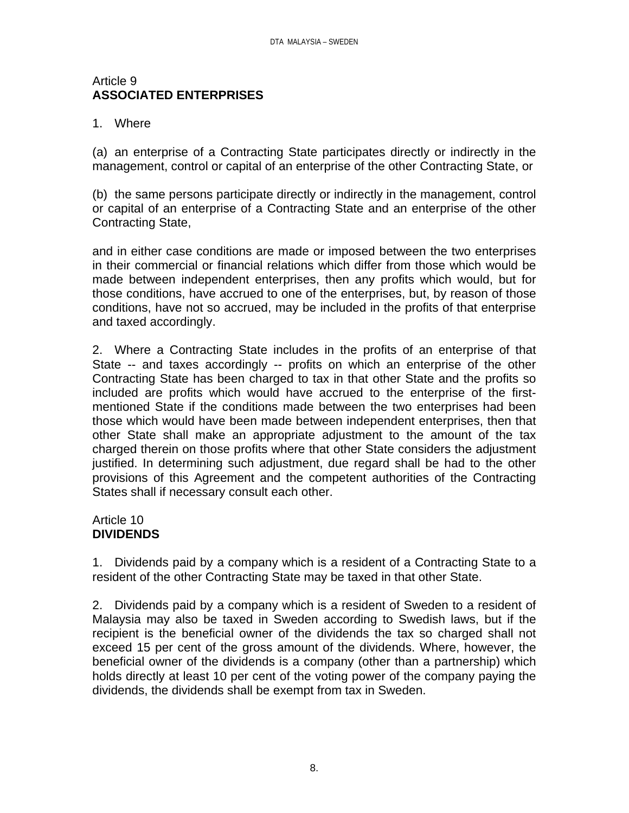#### Article 9 **ASSOCIATED ENTERPRISES**

### 1. Where

(a) an enterprise of a Contracting State participates directly or indirectly in the management, control or capital of an enterprise of the other Contracting State, or

(b) the same persons participate directly or indirectly in the management, control or capital of an enterprise of a Contracting State and an enterprise of the other Contracting State,

and in either case conditions are made or imposed between the two enterprises in their commercial or financial relations which differ from those which would be made between independent enterprises, then any profits which would, but for those conditions, have accrued to one of the enterprises, but, by reason of those conditions, have not so accrued, may be included in the profits of that enterprise and taxed accordingly.

2. Where a Contracting State includes in the profits of an enterprise of that State -- and taxes accordingly -- profits on which an enterprise of the other Contracting State has been charged to tax in that other State and the profits so included are profits which would have accrued to the enterprise of the firstmentioned State if the conditions made between the two enterprises had been those which would have been made between independent enterprises, then that other State shall make an appropriate adjustment to the amount of the tax charged therein on those profits where that other State considers the adjustment justified. In determining such adjustment, due regard shall be had to the other provisions of this Agreement and the competent authorities of the Contracting States shall if necessary consult each other.

### Article 10 **DIVIDENDS**

1. Dividends paid by a company which is a resident of a Contracting State to a resident of the other Contracting State may be taxed in that other State.

2. Dividends paid by a company which is a resident of Sweden to a resident of Malaysia may also be taxed in Sweden according to Swedish laws, but if the recipient is the beneficial owner of the dividends the tax so charged shall not exceed 15 per cent of the gross amount of the dividends. Where, however, the beneficial owner of the dividends is a company (other than a partnership) which holds directly at least 10 per cent of the voting power of the company paying the dividends, the dividends shall be exempt from tax in Sweden.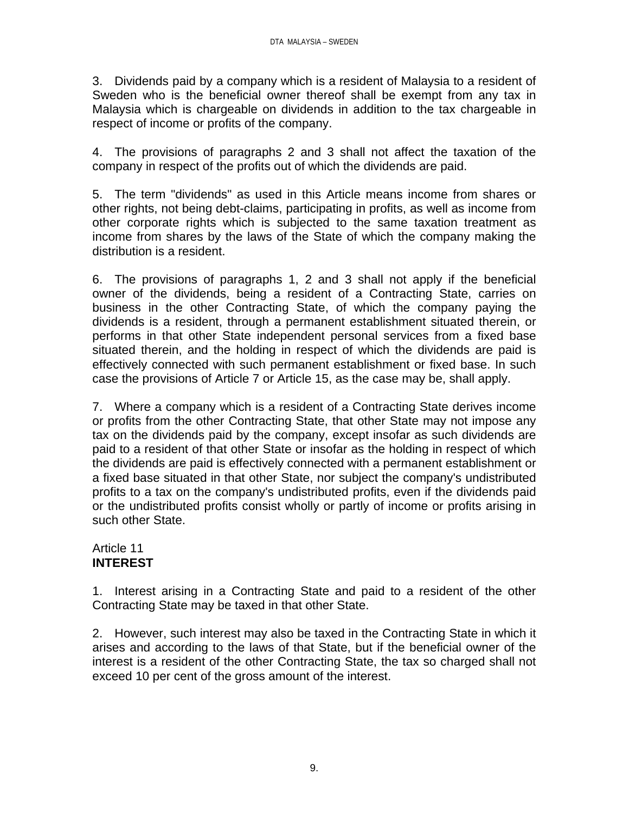3. Dividends paid by a company which is a resident of Malaysia to a resident of Sweden who is the beneficial owner thereof shall be exempt from any tax in Malaysia which is chargeable on dividends in addition to the tax chargeable in respect of income or profits of the company.

4. The provisions of paragraphs 2 and 3 shall not affect the taxation of the company in respect of the profits out of which the dividends are paid.

5. The term "dividends" as used in this Article means income from shares or other rights, not being debt-claims, participating in profits, as well as income from other corporate rights which is subjected to the same taxation treatment as income from shares by the laws of the State of which the company making the distribution is a resident.

6. The provisions of paragraphs 1, 2 and 3 shall not apply if the beneficial owner of the dividends, being a resident of a Contracting State, carries on business in the other Contracting State, of which the company paying the dividends is a resident, through a permanent establishment situated therein, or performs in that other State independent personal services from a fixed base situated therein, and the holding in respect of which the dividends are paid is effectively connected with such permanent establishment or fixed base. In such case the provisions of Article 7 or Article 15, as the case may be, shall apply.

7. Where a company which is a resident of a Contracting State derives income or profits from the other Contracting State, that other State may not impose any tax on the dividends paid by the company, except insofar as such dividends are paid to a resident of that other State or insofar as the holding in respect of which the dividends are paid is effectively connected with a permanent establishment or a fixed base situated in that other State, nor subject the company's undistributed profits to a tax on the company's undistributed profits, even if the dividends paid or the undistributed profits consist wholly or partly of income or profits arising in such other State.

#### Article 11 **INTEREST**

1. Interest arising in a Contracting State and paid to a resident of the other Contracting State may be taxed in that other State.

2. However, such interest may also be taxed in the Contracting State in which it arises and according to the laws of that State, but if the beneficial owner of the interest is a resident of the other Contracting State, the tax so charged shall not exceed 10 per cent of the gross amount of the interest.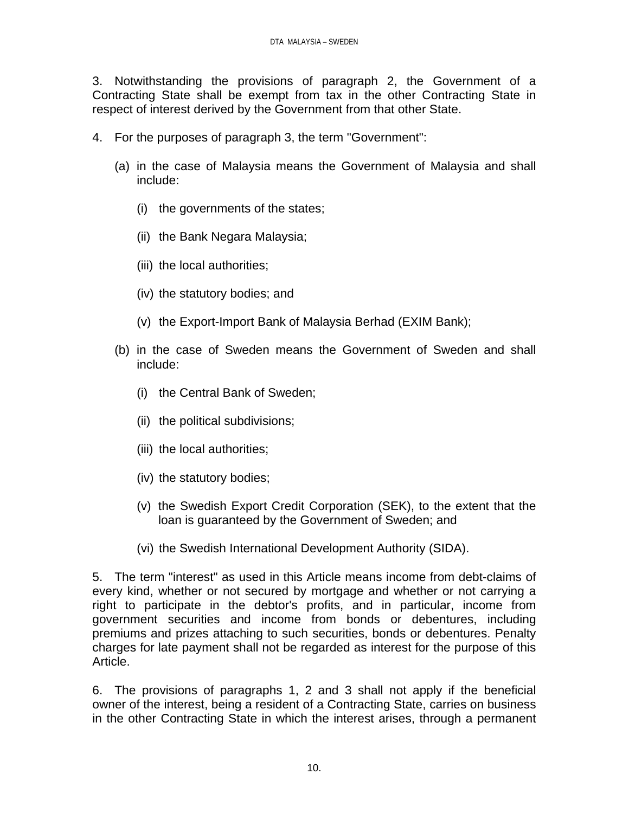3. Notwithstanding the provisions of paragraph 2, the Government of a Contracting State shall be exempt from tax in the other Contracting State in respect of interest derived by the Government from that other State.

- 4. For the purposes of paragraph 3, the term "Government":
	- (a) in the case of Malaysia means the Government of Malaysia and shall include:
		- (i) the governments of the states;
		- (ii) the Bank Negara Malaysia;
		- (iii) the local authorities;
		- (iv) the statutory bodies; and
		- (v) the Export-Import Bank of Malaysia Berhad (EXIM Bank);
	- (b) in the case of Sweden means the Government of Sweden and shall include:
		- (i) the Central Bank of Sweden;
		- (ii) the political subdivisions;
		- (iii) the local authorities;
		- (iv) the statutory bodies;
		- (v) the Swedish Export Credit Corporation (SEK), to the extent that the loan is guaranteed by the Government of Sweden; and
		- (vi) the Swedish International Development Authority (SIDA).

5. The term "interest" as used in this Article means income from debt-claims of every kind, whether or not secured by mortgage and whether or not carrying a right to participate in the debtor's profits, and in particular, income from government securities and income from bonds or debentures, including premiums and prizes attaching to such securities, bonds or debentures. Penalty charges for late payment shall not be regarded as interest for the purpose of this Article.

6. The provisions of paragraphs 1, 2 and 3 shall not apply if the beneficial owner of the interest, being a resident of a Contracting State, carries on business in the other Contracting State in which the interest arises, through a permanent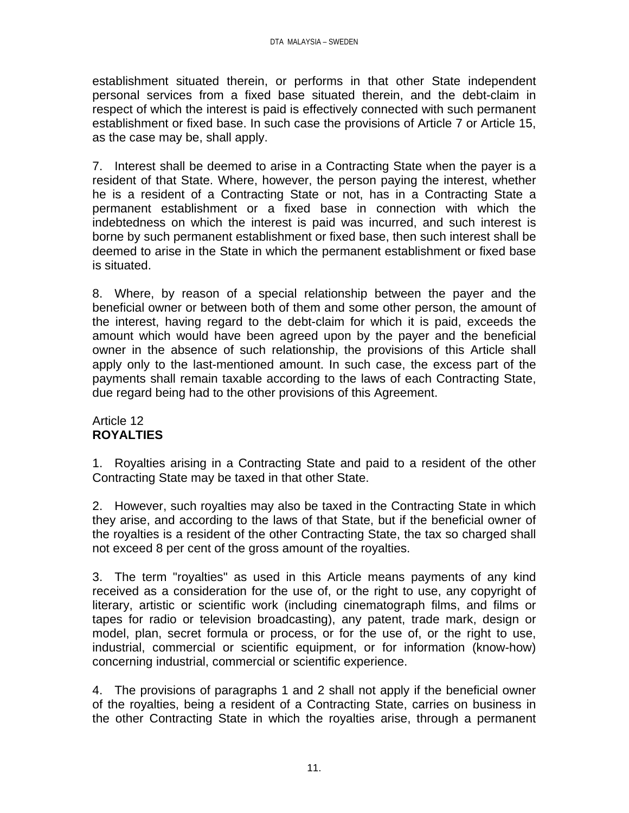establishment situated therein, or performs in that other State independent personal services from a fixed base situated therein, and the debt-claim in respect of which the interest is paid is effectively connected with such permanent establishment or fixed base. In such case the provisions of Article 7 or Article 15, as the case may be, shall apply.

7. Interest shall be deemed to arise in a Contracting State when the payer is a resident of that State. Where, however, the person paying the interest, whether he is a resident of a Contracting State or not, has in a Contracting State a permanent establishment or a fixed base in connection with which the indebtedness on which the interest is paid was incurred, and such interest is borne by such permanent establishment or fixed base, then such interest shall be deemed to arise in the State in which the permanent establishment or fixed base is situated.

8. Where, by reason of a special relationship between the payer and the beneficial owner or between both of them and some other person, the amount of the interest, having regard to the debt-claim for which it is paid, exceeds the amount which would have been agreed upon by the payer and the beneficial owner in the absence of such relationship, the provisions of this Article shall apply only to the last-mentioned amount. In such case, the excess part of the payments shall remain taxable according to the laws of each Contracting State, due regard being had to the other provisions of this Agreement.

## Article 12 **ROYALTIES**

1. Royalties arising in a Contracting State and paid to a resident of the other Contracting State may be taxed in that other State.

2. However, such royalties may also be taxed in the Contracting State in which they arise, and according to the laws of that State, but if the beneficial owner of the royalties is a resident of the other Contracting State, the tax so charged shall not exceed 8 per cent of the gross amount of the royalties.

3. The term "royalties" as used in this Article means payments of any kind received as a consideration for the use of, or the right to use, any copyright of literary, artistic or scientific work (including cinematograph films, and films or tapes for radio or television broadcasting), any patent, trade mark, design or model, plan, secret formula or process, or for the use of, or the right to use, industrial, commercial or scientific equipment, or for information (know-how) concerning industrial, commercial or scientific experience.

4. The provisions of paragraphs 1 and 2 shall not apply if the beneficial owner of the royalties, being a resident of a Contracting State, carries on business in the other Contracting State in which the royalties arise, through a permanent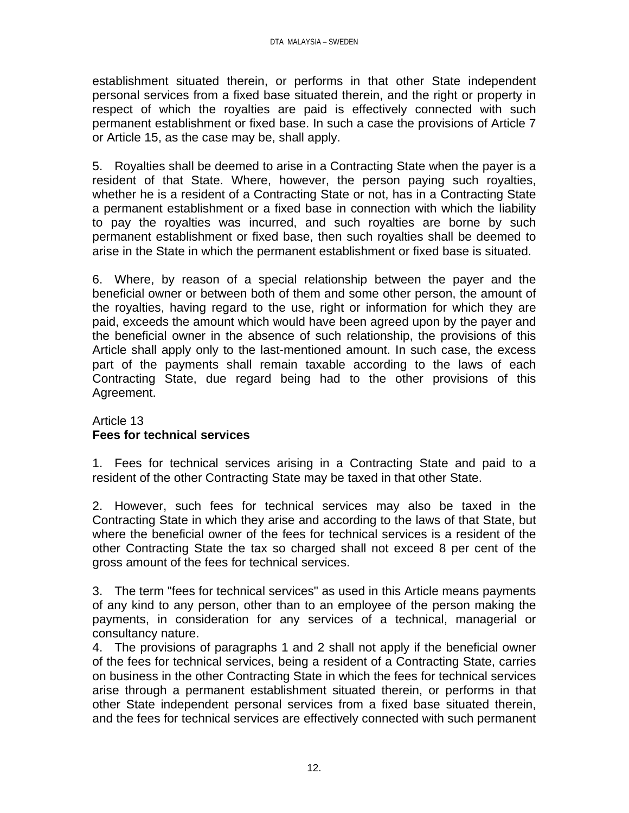establishment situated therein, or performs in that other State independent personal services from a fixed base situated therein, and the right or property in respect of which the royalties are paid is effectively connected with such permanent establishment or fixed base. In such a case the provisions of Article 7 or Article 15, as the case may be, shall apply.

5. Royalties shall be deemed to arise in a Contracting State when the payer is a resident of that State. Where, however, the person paying such royalties, whether he is a resident of a Contracting State or not, has in a Contracting State a permanent establishment or a fixed base in connection with which the liability to pay the royalties was incurred, and such royalties are borne by such permanent establishment or fixed base, then such royalties shall be deemed to arise in the State in which the permanent establishment or fixed base is situated.

6. Where, by reason of a special relationship between the payer and the beneficial owner or between both of them and some other person, the amount of the royalties, having regard to the use, right or information for which they are paid, exceeds the amount which would have been agreed upon by the payer and the beneficial owner in the absence of such relationship, the provisions of this Article shall apply only to the last-mentioned amount. In such case, the excess part of the payments shall remain taxable according to the laws of each Contracting State, due regard being had to the other provisions of this Agreement.

## Article 13 **Fees for technical services**

1. Fees for technical services arising in a Contracting State and paid to a resident of the other Contracting State may be taxed in that other State.

2. However, such fees for technical services may also be taxed in the Contracting State in which they arise and according to the laws of that State, but where the beneficial owner of the fees for technical services is a resident of the other Contracting State the tax so charged shall not exceed 8 per cent of the gross amount of the fees for technical services.

3. The term "fees for technical services" as used in this Article means payments of any kind to any person, other than to an employee of the person making the payments, in consideration for any services of a technical, managerial or consultancy nature.

4. The provisions of paragraphs 1 and 2 shall not apply if the beneficial owner of the fees for technical services, being a resident of a Contracting State, carries on business in the other Contracting State in which the fees for technical services arise through a permanent establishment situated therein, or performs in that other State independent personal services from a fixed base situated therein, and the fees for technical services are effectively connected with such permanent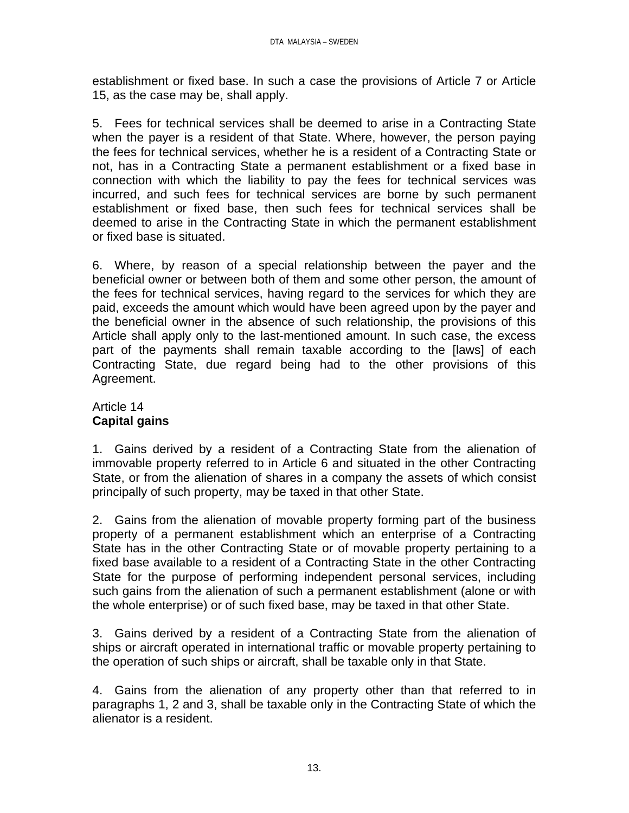establishment or fixed base. In such a case the provisions of Article 7 or Article 15, as the case may be, shall apply.

5. Fees for technical services shall be deemed to arise in a Contracting State when the payer is a resident of that State. Where, however, the person paying the fees for technical services, whether he is a resident of a Contracting State or not, has in a Contracting State a permanent establishment or a fixed base in connection with which the liability to pay the fees for technical services was incurred, and such fees for technical services are borne by such permanent establishment or fixed base, then such fees for technical services shall be deemed to arise in the Contracting State in which the permanent establishment or fixed base is situated.

6. Where, by reason of a special relationship between the payer and the beneficial owner or between both of them and some other person, the amount of the fees for technical services, having regard to the services for which they are paid, exceeds the amount which would have been agreed upon by the payer and the beneficial owner in the absence of such relationship, the provisions of this Article shall apply only to the last-mentioned amount. In such case, the excess part of the payments shall remain taxable according to the [laws] of each Contracting State, due regard being had to the other provisions of this Agreement.

## Article 14 **Capital gains**

1. Gains derived by a resident of a Contracting State from the alienation of immovable property referred to in Article 6 and situated in the other Contracting State, or from the alienation of shares in a company the assets of which consist principally of such property, may be taxed in that other State.

2. Gains from the alienation of movable property forming part of the business property of a permanent establishment which an enterprise of a Contracting State has in the other Contracting State or of movable property pertaining to a fixed base available to a resident of a Contracting State in the other Contracting State for the purpose of performing independent personal services, including such gains from the alienation of such a permanent establishment (alone or with the whole enterprise) or of such fixed base, may be taxed in that other State.

3. Gains derived by a resident of a Contracting State from the alienation of ships or aircraft operated in international traffic or movable property pertaining to the operation of such ships or aircraft, shall be taxable only in that State.

4. Gains from the alienation of any property other than that referred to in paragraphs 1, 2 and 3, shall be taxable only in the Contracting State of which the alienator is a resident.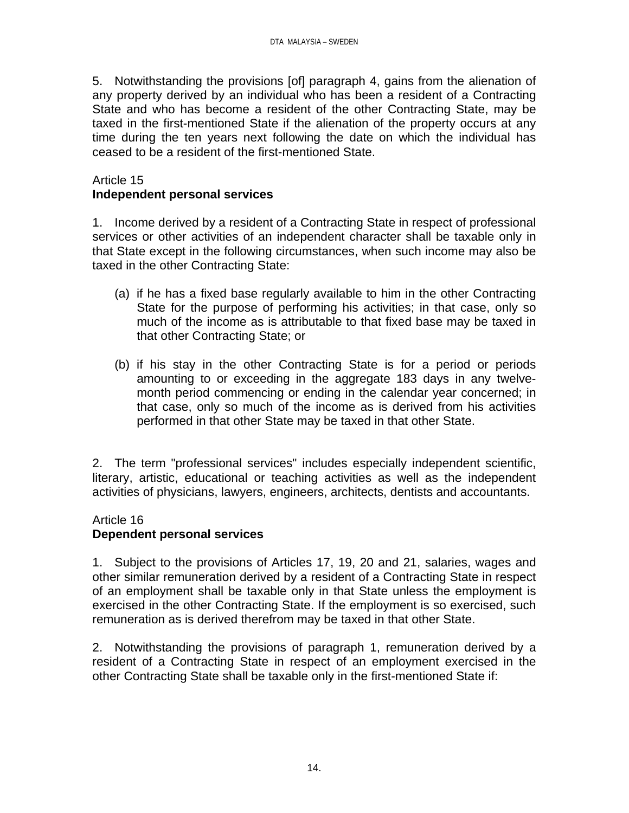5. Notwithstanding the provisions [of] paragraph 4, gains from the alienation of any property derived by an individual who has been a resident of a Contracting State and who has become a resident of the other Contracting State, may be taxed in the first-mentioned State if the alienation of the property occurs at any time during the ten years next following the date on which the individual has ceased to be a resident of the first-mentioned State.

### Article 15 **Independent personal services**

1. Income derived by a resident of a Contracting State in respect of professional services or other activities of an independent character shall be taxable only in that State except in the following circumstances, when such income may also be taxed in the other Contracting State:

- (a) if he has a fixed base regularly available to him in the other Contracting State for the purpose of performing his activities; in that case, only so much of the income as is attributable to that fixed base may be taxed in that other Contracting State; or
- (b) if his stay in the other Contracting State is for a period or periods amounting to or exceeding in the aggregate 183 days in any twelvemonth period commencing or ending in the calendar year concerned; in that case, only so much of the income as is derived from his activities performed in that other State may be taxed in that other State.

2. The term "professional services" includes especially independent scientific, literary, artistic, educational or teaching activities as well as the independent activities of physicians, lawyers, engineers, architects, dentists and accountants.

### Article 16

## **Dependent personal services**

1. Subject to the provisions of Articles 17, 19, 20 and 21, salaries, wages and other similar remuneration derived by a resident of a Contracting State in respect of an employment shall be taxable only in that State unless the employment is exercised in the other Contracting State. If the employment is so exercised, such remuneration as is derived therefrom may be taxed in that other State.

2. Notwithstanding the provisions of paragraph 1, remuneration derived by a resident of a Contracting State in respect of an employment exercised in the other Contracting State shall be taxable only in the first-mentioned State if: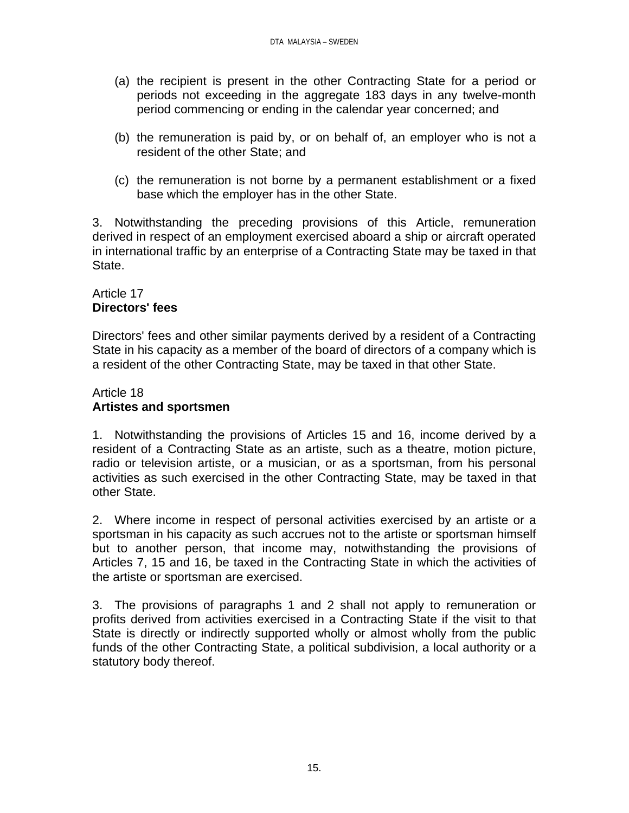- (a) the recipient is present in the other Contracting State for a period or periods not exceeding in the aggregate 183 days in any twelve-month period commencing or ending in the calendar year concerned; and
- (b) the remuneration is paid by, or on behalf of, an employer who is not a resident of the other State; and
- (c) the remuneration is not borne by a permanent establishment or a fixed base which the employer has in the other State.

3. Notwithstanding the preceding provisions of this Article, remuneration derived in respect of an employment exercised aboard a ship or aircraft operated in international traffic by an enterprise of a Contracting State may be taxed in that State.

## Article 17 **Directors' fees**

Directors' fees and other similar payments derived by a resident of a Contracting State in his capacity as a member of the board of directors of a company which is a resident of the other Contracting State, may be taxed in that other State.

## Article 18 **Artistes and sportsmen**

1. Notwithstanding the provisions of Articles 15 and 16, income derived by a resident of a Contracting State as an artiste, such as a theatre, motion picture, radio or television artiste, or a musician, or as a sportsman, from his personal activities as such exercised in the other Contracting State, may be taxed in that other State.

2. Where income in respect of personal activities exercised by an artiste or a sportsman in his capacity as such accrues not to the artiste or sportsman himself but to another person, that income may, notwithstanding the provisions of Articles 7, 15 and 16, be taxed in the Contracting State in which the activities of the artiste or sportsman are exercised.

3. The provisions of paragraphs 1 and 2 shall not apply to remuneration or profits derived from activities exercised in a Contracting State if the visit to that State is directly or indirectly supported wholly or almost wholly from the public funds of the other Contracting State, a political subdivision, a local authority or a statutory body thereof.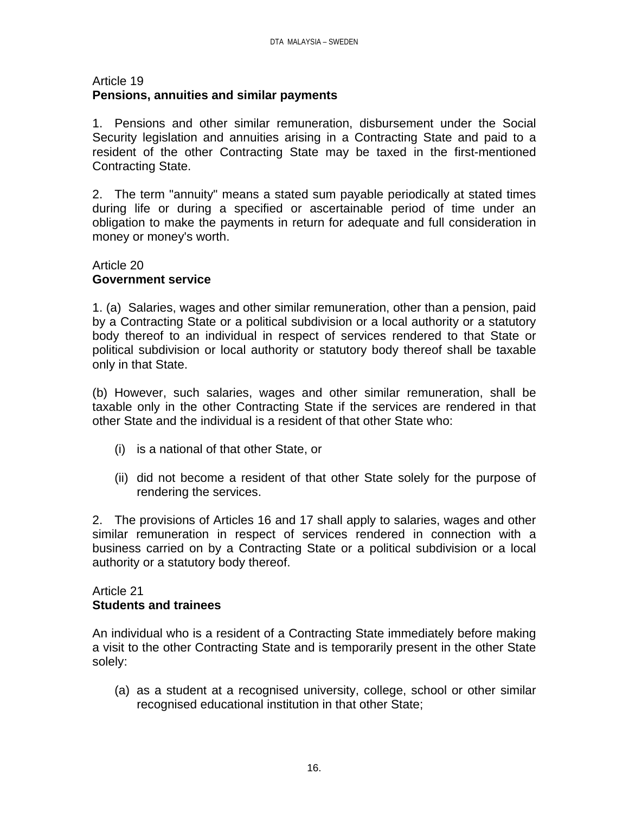#### Article 19 **Pensions, annuities and similar payments**

1. Pensions and other similar remuneration, disbursement under the Social Security legislation and annuities arising in a Contracting State and paid to a resident of the other Contracting State may be taxed in the first-mentioned Contracting State.

2. The term "annuity" means a stated sum payable periodically at stated times during life or during a specified or ascertainable period of time under an obligation to make the payments in return for adequate and full consideration in money or money's worth.

## Article 20 **Government service**

1. (a) Salaries, wages and other similar remuneration, other than a pension, paid by a Contracting State or a political subdivision or a local authority or a statutory body thereof to an individual in respect of services rendered to that State or political subdivision or local authority or statutory body thereof shall be taxable only in that State.

(b) However, such salaries, wages and other similar remuneration, shall be taxable only in the other Contracting State if the services are rendered in that other State and the individual is a resident of that other State who:

- (i) is a national of that other State, or
- (ii) did not become a resident of that other State solely for the purpose of rendering the services.

2. The provisions of Articles 16 and 17 shall apply to salaries, wages and other similar remuneration in respect of services rendered in connection with a business carried on by a Contracting State or a political subdivision or a local authority or a statutory body thereof.

## Article 21 **Students and trainees**

An individual who is a resident of a Contracting State immediately before making a visit to the other Contracting State and is temporarily present in the other State solely:

(a) as a student at a recognised university, college, school or other similar recognised educational institution in that other State;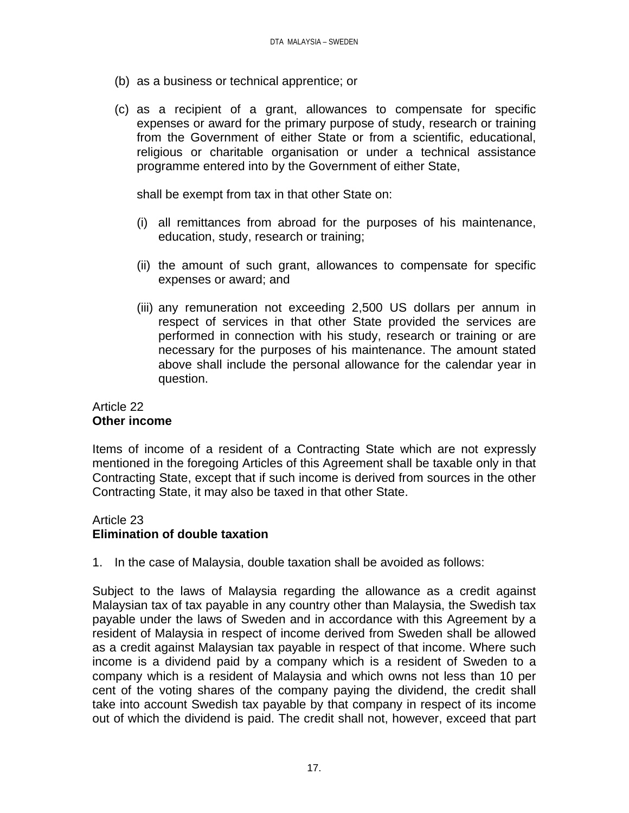- (b) as a business or technical apprentice; or
- (c) as a recipient of a grant, allowances to compensate for specific expenses or award for the primary purpose of study, research or training from the Government of either State or from a scientific, educational, religious or charitable organisation or under a technical assistance programme entered into by the Government of either State,

shall be exempt from tax in that other State on:

- (i) all remittances from abroad for the purposes of his maintenance, education, study, research or training;
- (ii) the amount of such grant, allowances to compensate for specific expenses or award; and
- (iii) any remuneration not exceeding 2,500 US dollars per annum in respect of services in that other State provided the services are performed in connection with his study, research or training or are necessary for the purposes of his maintenance. The amount stated above shall include the personal allowance for the calendar year in question.

### Article 22 **Other income**

Items of income of a resident of a Contracting State which are not expressly mentioned in the foregoing Articles of this Agreement shall be taxable only in that Contracting State, except that if such income is derived from sources in the other Contracting State, it may also be taxed in that other State.

Article 23

# **Elimination of double taxation**

1. In the case of Malaysia, double taxation shall be avoided as follows:

Subject to the laws of Malaysia regarding the allowance as a credit against Malaysian tax of tax payable in any country other than Malaysia, the Swedish tax payable under the laws of Sweden and in accordance with this Agreement by a resident of Malaysia in respect of income derived from Sweden shall be allowed as a credit against Malaysian tax payable in respect of that income. Where such income is a dividend paid by a company which is a resident of Sweden to a company which is a resident of Malaysia and which owns not less than 10 per cent of the voting shares of the company paying the dividend, the credit shall take into account Swedish tax payable by that company in respect of its income out of which the dividend is paid. The credit shall not, however, exceed that part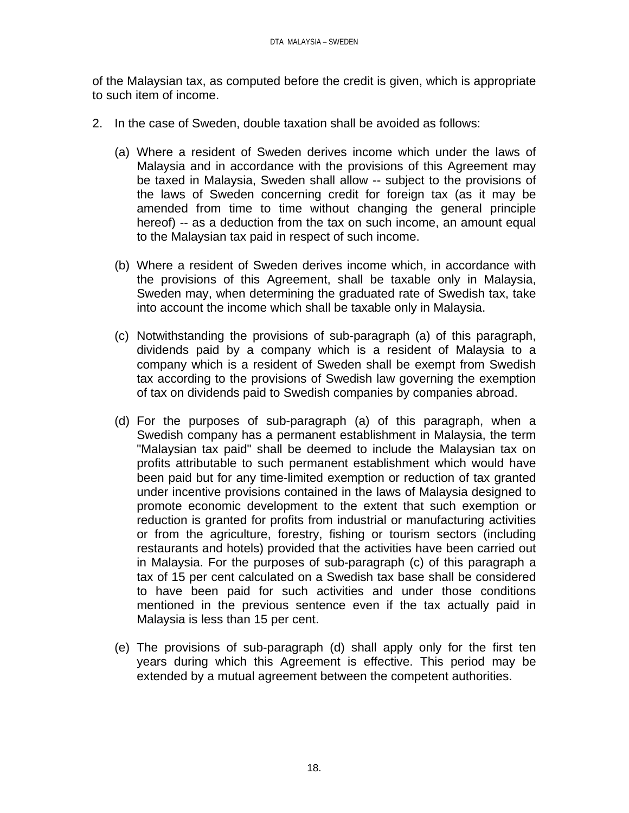of the Malaysian tax, as computed before the credit is given, which is appropriate to such item of income.

- 2. In the case of Sweden, double taxation shall be avoided as follows:
	- (a) Where a resident of Sweden derives income which under the laws of Malaysia and in accordance with the provisions of this Agreement may be taxed in Malaysia, Sweden shall allow -- subject to the provisions of the laws of Sweden concerning credit for foreign tax (as it may be amended from time to time without changing the general principle hereof) -- as a deduction from the tax on such income, an amount equal to the Malaysian tax paid in respect of such income.
	- (b) Where a resident of Sweden derives income which, in accordance with the provisions of this Agreement, shall be taxable only in Malaysia, Sweden may, when determining the graduated rate of Swedish tax, take into account the income which shall be taxable only in Malaysia.
	- (c) Notwithstanding the provisions of sub-paragraph (a) of this paragraph, dividends paid by a company which is a resident of Malaysia to a company which is a resident of Sweden shall be exempt from Swedish tax according to the provisions of Swedish law governing the exemption of tax on dividends paid to Swedish companies by companies abroad.
	- (d) For the purposes of sub-paragraph (a) of this paragraph, when a Swedish company has a permanent establishment in Malaysia, the term "Malaysian tax paid" shall be deemed to include the Malaysian tax on profits attributable to such permanent establishment which would have been paid but for any time-limited exemption or reduction of tax granted under incentive provisions contained in the laws of Malaysia designed to promote economic development to the extent that such exemption or reduction is granted for profits from industrial or manufacturing activities or from the agriculture, forestry, fishing or tourism sectors (including restaurants and hotels) provided that the activities have been carried out in Malaysia. For the purposes of sub-paragraph (c) of this paragraph a tax of 15 per cent calculated on a Swedish tax base shall be considered to have been paid for such activities and under those conditions mentioned in the previous sentence even if the tax actually paid in Malaysia is less than 15 per cent.
	- (e) The provisions of sub-paragraph (d) shall apply only for the first ten years during which this Agreement is effective. This period may be extended by a mutual agreement between the competent authorities.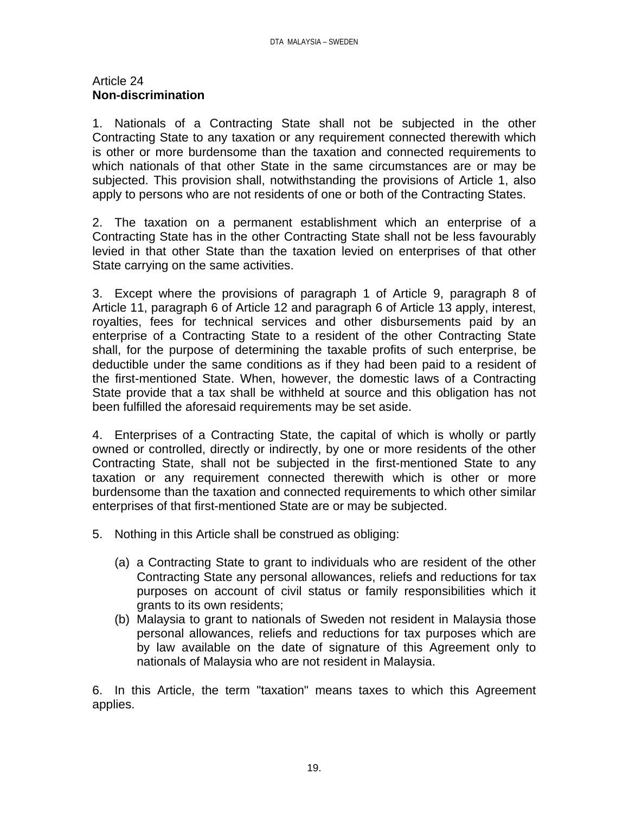#### Article 24 **Non-discrimination**

1. Nationals of a Contracting State shall not be subjected in the other Contracting State to any taxation or any requirement connected therewith which is other or more burdensome than the taxation and connected requirements to which nationals of that other State in the same circumstances are or may be subjected. This provision shall, notwithstanding the provisions of Article 1, also apply to persons who are not residents of one or both of the Contracting States.

2. The taxation on a permanent establishment which an enterprise of a Contracting State has in the other Contracting State shall not be less favourably levied in that other State than the taxation levied on enterprises of that other State carrying on the same activities.

3. Except where the provisions of paragraph 1 of Article 9, paragraph 8 of Article 11, paragraph 6 of Article 12 and paragraph 6 of Article 13 apply, interest, royalties, fees for technical services and other disbursements paid by an enterprise of a Contracting State to a resident of the other Contracting State shall, for the purpose of determining the taxable profits of such enterprise, be deductible under the same conditions as if they had been paid to a resident of the first-mentioned State. When, however, the domestic laws of a Contracting State provide that a tax shall be withheld at source and this obligation has not been fulfilled the aforesaid requirements may be set aside.

4. Enterprises of a Contracting State, the capital of which is wholly or partly owned or controlled, directly or indirectly, by one or more residents of the other Contracting State, shall not be subjected in the first-mentioned State to any taxation or any requirement connected therewith which is other or more burdensome than the taxation and connected requirements to which other similar enterprises of that first-mentioned State are or may be subjected.

- 5. Nothing in this Article shall be construed as obliging:
	- (a) a Contracting State to grant to individuals who are resident of the other Contracting State any personal allowances, reliefs and reductions for tax purposes on account of civil status or family responsibilities which it grants to its own residents;
	- (b) Malaysia to grant to nationals of Sweden not resident in Malaysia those personal allowances, reliefs and reductions for tax purposes which are by law available on the date of signature of this Agreement only to nationals of Malaysia who are not resident in Malaysia.

6. In this Article, the term "taxation" means taxes to which this Agreement applies.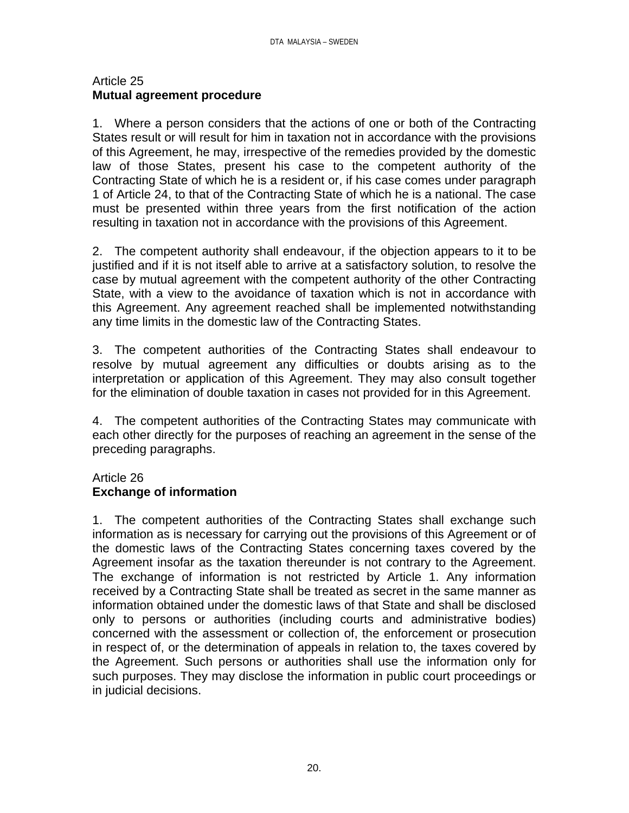#### Article 25 **Mutual agreement procedure**

1. Where a person considers that the actions of one or both of the Contracting States result or will result for him in taxation not in accordance with the provisions of this Agreement, he may, irrespective of the remedies provided by the domestic law of those States, present his case to the competent authority of the Contracting State of which he is a resident or, if his case comes under paragraph 1 of Article 24, to that of the Contracting State of which he is a national. The case must be presented within three years from the first notification of the action resulting in taxation not in accordance with the provisions of this Agreement.

2. The competent authority shall endeavour, if the objection appears to it to be justified and if it is not itself able to arrive at a satisfactory solution, to resolve the case by mutual agreement with the competent authority of the other Contracting State, with a view to the avoidance of taxation which is not in accordance with this Agreement. Any agreement reached shall be implemented notwithstanding any time limits in the domestic law of the Contracting States.

3. The competent authorities of the Contracting States shall endeavour to resolve by mutual agreement any difficulties or doubts arising as to the interpretation or application of this Agreement. They may also consult together for the elimination of double taxation in cases not provided for in this Agreement.

4. The competent authorities of the Contracting States may communicate with each other directly for the purposes of reaching an agreement in the sense of the preceding paragraphs.

## Article 26 **Exchange of information**

1. The competent authorities of the Contracting States shall exchange such information as is necessary for carrying out the provisions of this Agreement or of the domestic laws of the Contracting States concerning taxes covered by the Agreement insofar as the taxation thereunder is not contrary to the Agreement. The exchange of information is not restricted by Article 1. Any information received by a Contracting State shall be treated as secret in the same manner as information obtained under the domestic laws of that State and shall be disclosed only to persons or authorities (including courts and administrative bodies) concerned with the assessment or collection of, the enforcement or prosecution in respect of, or the determination of appeals in relation to, the taxes covered by the Agreement. Such persons or authorities shall use the information only for such purposes. They may disclose the information in public court proceedings or in judicial decisions.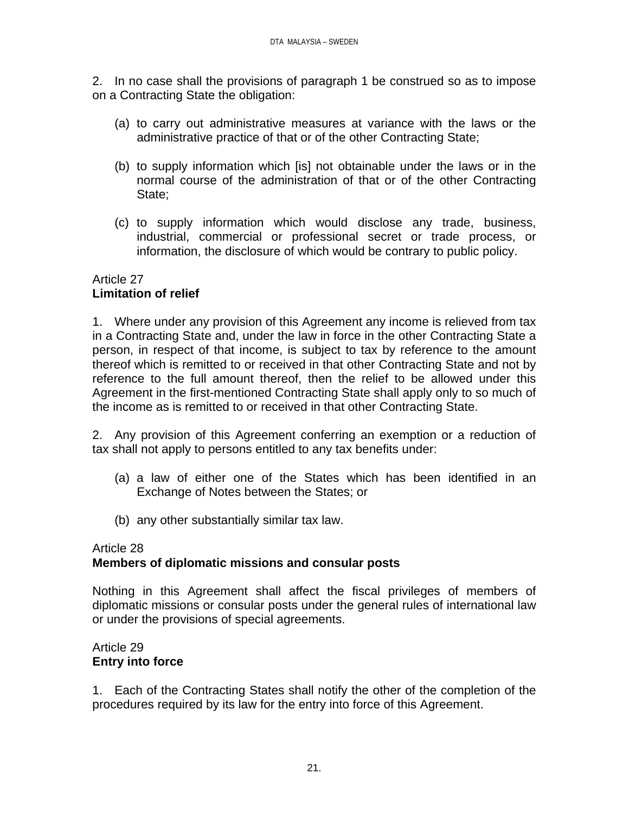2. In no case shall the provisions of paragraph 1 be construed so as to impose on a Contracting State the obligation:

- (a) to carry out administrative measures at variance with the laws or the administrative practice of that or of the other Contracting State;
- (b) to supply information which [is] not obtainable under the laws or in the normal course of the administration of that or of the other Contracting State;
- (c) to supply information which would disclose any trade, business, industrial, commercial or professional secret or trade process, or information, the disclosure of which would be contrary to public policy.

### Article 27 **Limitation of relief**

1. Where under any provision of this Agreement any income is relieved from tax in a Contracting State and, under the law in force in the other Contracting State a person, in respect of that income, is subject to tax by reference to the amount thereof which is remitted to or received in that other Contracting State and not by reference to the full amount thereof, then the relief to be allowed under this Agreement in the first-mentioned Contracting State shall apply only to so much of the income as is remitted to or received in that other Contracting State.

2. Any provision of this Agreement conferring an exemption or a reduction of tax shall not apply to persons entitled to any tax benefits under:

- (a) a law of either one of the States which has been identified in an Exchange of Notes between the States; or
- (b) any other substantially similar tax law.

## Article 28 **Members of diplomatic missions and consular posts**

Nothing in this Agreement shall affect the fiscal privileges of members of diplomatic missions or consular posts under the general rules of international law or under the provisions of special agreements.

### Article 29 **Entry into force**

1. Each of the Contracting States shall notify the other of the completion of the procedures required by its law for the entry into force of this Agreement.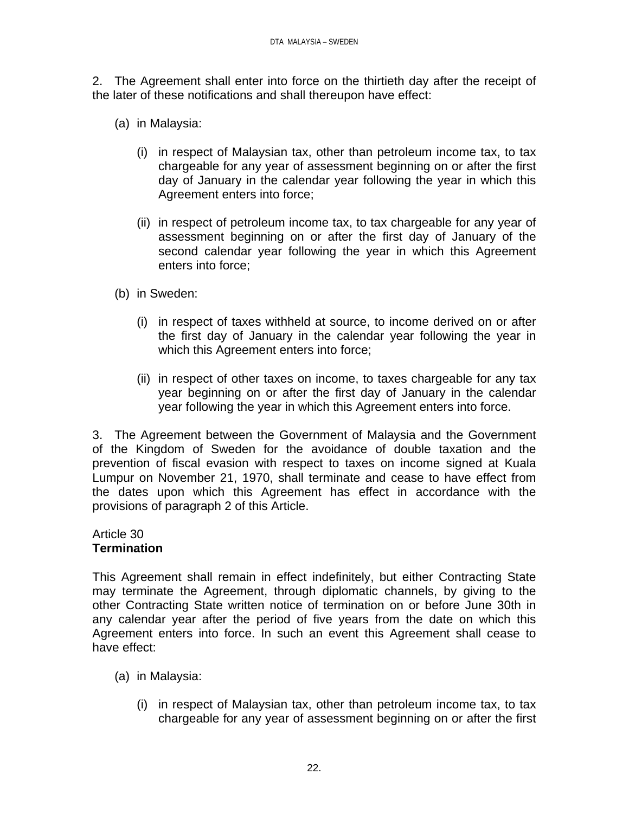2. The Agreement shall enter into force on the thirtieth day after the receipt of the later of these notifications and shall thereupon have effect:

- (a) in Malaysia:
	- (i) in respect of Malaysian tax, other than petroleum income tax, to tax chargeable for any year of assessment beginning on or after the first day of January in the calendar year following the year in which this Agreement enters into force;
	- (ii) in respect of petroleum income tax, to tax chargeable for any year of assessment beginning on or after the first day of January of the second calendar year following the year in which this Agreement enters into force;
- (b) in Sweden:
	- (i) in respect of taxes withheld at source, to income derived on or after the first day of January in the calendar year following the year in which this Agreement enters into force;
	- (ii) in respect of other taxes on income, to taxes chargeable for any tax year beginning on or after the first day of January in the calendar year following the year in which this Agreement enters into force.

3. The Agreement between the Government of Malaysia and the Government of the Kingdom of Sweden for the avoidance of double taxation and the prevention of fiscal evasion with respect to taxes on income signed at Kuala Lumpur on November 21, 1970, shall terminate and cease to have effect from the dates upon which this Agreement has effect in accordance with the provisions of paragraph 2 of this Article.

### Article 30 **Termination**

This Agreement shall remain in effect indefinitely, but either Contracting State may terminate the Agreement, through diplomatic channels, by giving to the other Contracting State written notice of termination on or before June 30th in any calendar year after the period of five years from the date on which this Agreement enters into force. In such an event this Agreement shall cease to have effect:

- (a) in Malaysia:
	- (i) in respect of Malaysian tax, other than petroleum income tax, to tax chargeable for any year of assessment beginning on or after the first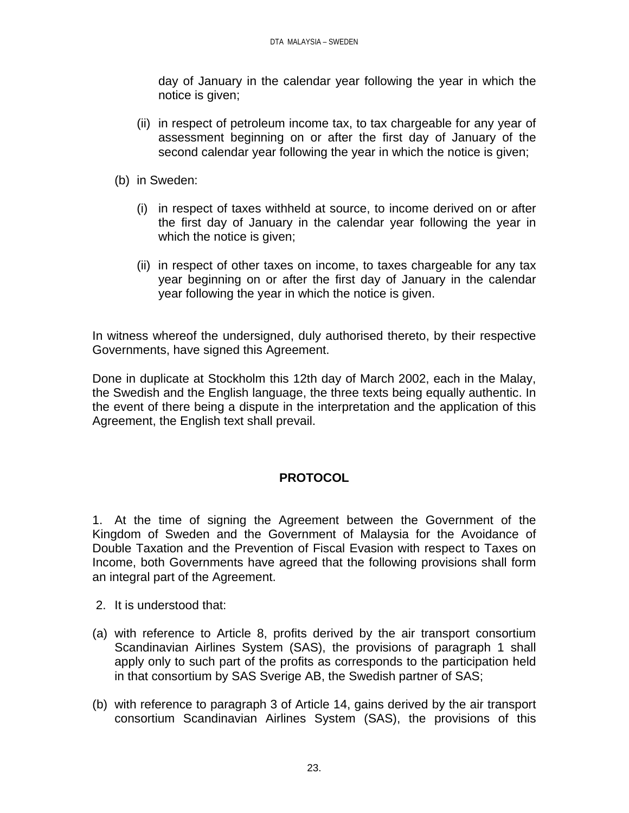day of January in the calendar year following the year in which the notice is given;

- (ii) in respect of petroleum income tax, to tax chargeable for any year of assessment beginning on or after the first day of January of the second calendar year following the year in which the notice is given;
- (b) in Sweden:
	- (i) in respect of taxes withheld at source, to income derived on or after the first day of January in the calendar year following the year in which the notice is given;
	- (ii) in respect of other taxes on income, to taxes chargeable for any tax year beginning on or after the first day of January in the calendar year following the year in which the notice is given.

In witness whereof the undersigned, duly authorised thereto, by their respective Governments, have signed this Agreement.

Done in duplicate at Stockholm this 12th day of March 2002, each in the Malay, the Swedish and the English language, the three texts being equally authentic. In the event of there being a dispute in the interpretation and the application of this Agreement, the English text shall prevail.

# **PROTOCOL**

1. At the time of signing the Agreement between the Government of the Kingdom of Sweden and the Government of Malaysia for the Avoidance of Double Taxation and the Prevention of Fiscal Evasion with respect to Taxes on Income, both Governments have agreed that the following provisions shall form an integral part of the Agreement.

- 2. It is understood that:
- (a) with reference to Article 8, profits derived by the air transport consortium Scandinavian Airlines System (SAS), the provisions of paragraph 1 shall apply only to such part of the profits as corresponds to the participation held in that consortium by SAS Sverige AB, the Swedish partner of SAS;
- (b) with reference to paragraph 3 of Article 14, gains derived by the air transport consortium Scandinavian Airlines System (SAS), the provisions of this